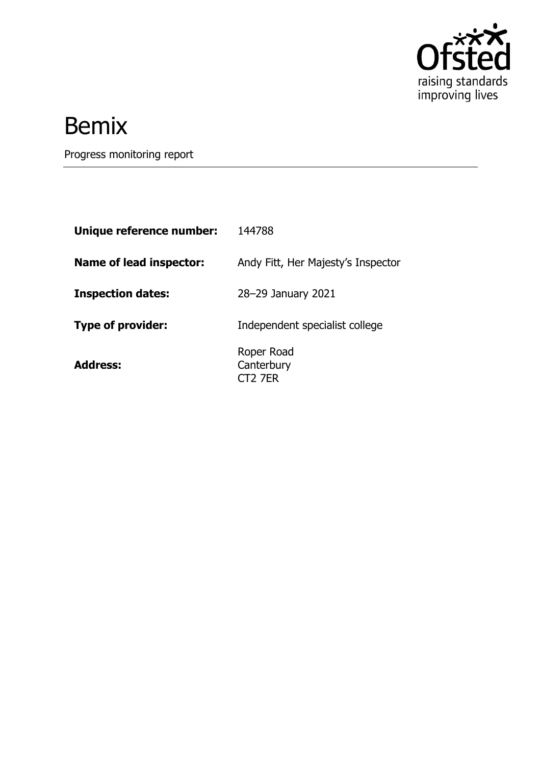

# Bemix

Progress monitoring report

| Unique reference number:       | 144788                              |
|--------------------------------|-------------------------------------|
| <b>Name of lead inspector:</b> | Andy Fitt, Her Majesty's Inspector  |
| <b>Inspection dates:</b>       | 28-29 January 2021                  |
| <b>Type of provider:</b>       | Independent specialist college      |
| <b>Address:</b>                | Roper Road<br>Canterbury<br>CT2 7FR |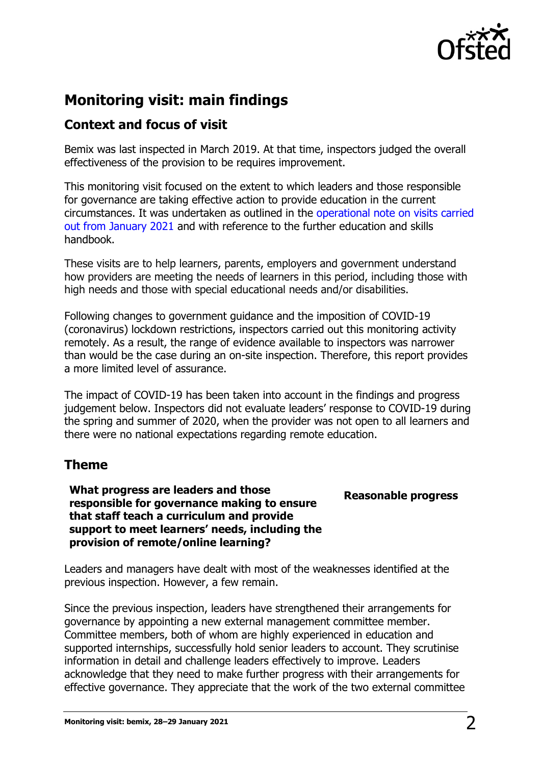

## **Monitoring visit: main findings**

### **Context and focus of visit**

Bemix was last inspected in March 2019. At that time, inspectors judged the overall effectiveness of the provision to be requires improvement.

This monitoring visit focused on the extent to which leaders and those responsible for governance are taking effective action to provide education in the current circumstances. It was undertaken as outlined in the [operational note on visits carried](https://www.gov.uk/guidance/january-2021-further-education-and-skills-providers)  [out from January 2021](https://www.gov.uk/guidance/january-2021-further-education-and-skills-providers) and with reference to the further education and skills handbook.

These visits are to help learners, parents, employers and government understand how providers are meeting the needs of learners in this period, including those with high needs and those with special educational needs and/or disabilities.

Following changes to government guidance and the imposition of COVID-19 (coronavirus) lockdown restrictions, inspectors carried out this monitoring activity remotely. As a result, the range of evidence available to inspectors was narrower than would be the case during an on-site inspection. Therefore, this report provides a more limited level of assurance.

The impact of COVID-19 has been taken into account in the findings and progress judgement below. Inspectors did not evaluate leaders' response to COVID-19 during the spring and summer of 2020, when the provider was not open to all learners and there were no national expectations regarding remote education.

#### **Theme**

**What progress are leaders and those responsible for governance making to ensure that staff teach a curriculum and provide support to meet learners' needs, including the provision of remote/online learning?**

#### **Reasonable progress**

Leaders and managers have dealt with most of the weaknesses identified at the previous inspection. However, a few remain.

Since the previous inspection, leaders have strengthened their arrangements for governance by appointing a new external management committee member. Committee members, both of whom are highly experienced in education and supported internships, successfully hold senior leaders to account. They scrutinise information in detail and challenge leaders effectively to improve. Leaders acknowledge that they need to make further progress with their arrangements for effective governance. They appreciate that the work of the two external committee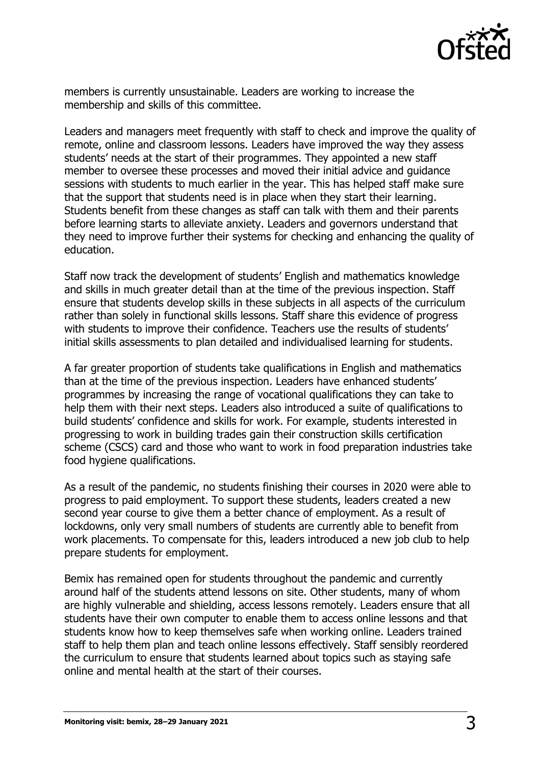

members is currently unsustainable. Leaders are working to increase the membership and skills of this committee.

Leaders and managers meet frequently with staff to check and improve the quality of remote, online and classroom lessons. Leaders have improved the way they assess students' needs at the start of their programmes. They appointed a new staff member to oversee these processes and moved their initial advice and guidance sessions with students to much earlier in the year. This has helped staff make sure that the support that students need is in place when they start their learning. Students benefit from these changes as staff can talk with them and their parents before learning starts to alleviate anxiety. Leaders and governors understand that they need to improve further their systems for checking and enhancing the quality of education.

Staff now track the development of students' English and mathematics knowledge and skills in much greater detail than at the time of the previous inspection. Staff ensure that students develop skills in these subjects in all aspects of the curriculum rather than solely in functional skills lessons. Staff share this evidence of progress with students to improve their confidence. Teachers use the results of students' initial skills assessments to plan detailed and individualised learning for students.

A far greater proportion of students take qualifications in English and mathematics than at the time of the previous inspection. Leaders have enhanced students' programmes by increasing the range of vocational qualifications they can take to help them with their next steps. Leaders also introduced a suite of qualifications to build students' confidence and skills for work. For example, students interested in progressing to work in building trades gain their construction skills certification scheme (CSCS) card and those who want to work in food preparation industries take food hygiene qualifications.

As a result of the pandemic, no students finishing their courses in 2020 were able to progress to paid employment. To support these students, leaders created a new second year course to give them a better chance of employment. As a result of lockdowns, only very small numbers of students are currently able to benefit from work placements. To compensate for this, leaders introduced a new job club to help prepare students for employment.

Bemix has remained open for students throughout the pandemic and currently around half of the students attend lessons on site. Other students, many of whom are highly vulnerable and shielding, access lessons remotely. Leaders ensure that all students have their own computer to enable them to access online lessons and that students know how to keep themselves safe when working online. Leaders trained staff to help them plan and teach online lessons effectively. Staff sensibly reordered the curriculum to ensure that students learned about topics such as staying safe online and mental health at the start of their courses.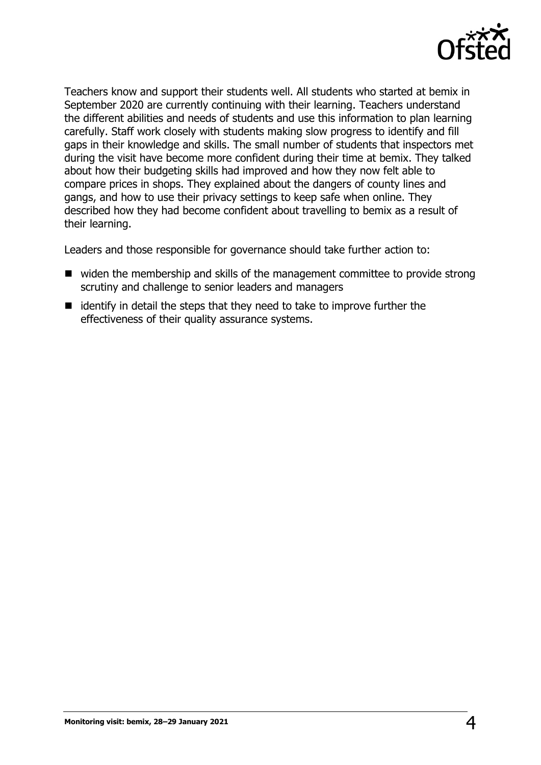

Teachers know and support their students well. All students who started at bemix in September 2020 are currently continuing with their learning. Teachers understand the different abilities and needs of students and use this information to plan learning carefully. Staff work closely with students making slow progress to identify and fill gaps in their knowledge and skills. The small number of students that inspectors met during the visit have become more confident during their time at bemix. They talked about how their budgeting skills had improved and how they now felt able to compare prices in shops. They explained about the dangers of county lines and gangs, and how to use their privacy settings to keep safe when online. They described how they had become confident about travelling to bemix as a result of their learning.

Leaders and those responsible for governance should take further action to:

- widen the membership and skills of the management committee to provide strong scrutiny and challenge to senior leaders and managers
- $\blacksquare$  identify in detail the steps that they need to take to improve further the effectiveness of their quality assurance systems.